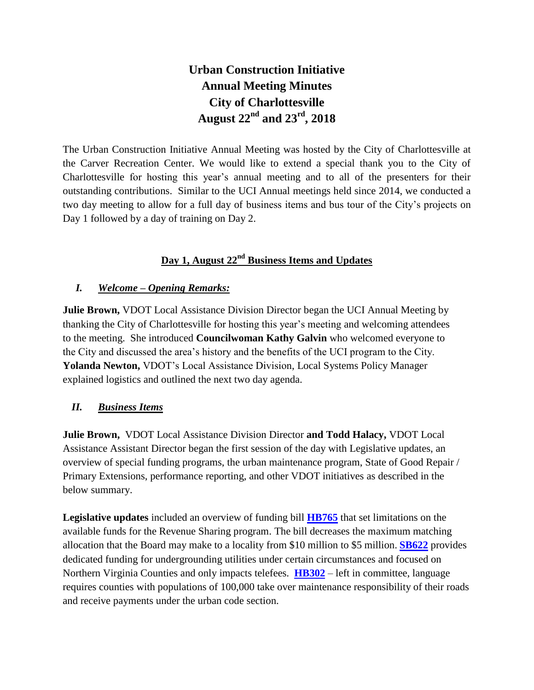## **Urban Construction Initiative Annual Meeting Minutes City of Charlottesville August 22nd and 23rd, 2018**

The Urban Construction Initiative Annual Meeting was hosted by the City of Charlottesville at the Carver Recreation Center. We would like to extend a special thank you to the City of Charlottesville for hosting this year's annual meeting and to all of the presenters for their outstanding contributions. Similar to the UCI Annual meetings held since 2014, we conducted a two day meeting to allow for a full day of business items and bus tour of the City's projects on Day 1 followed by a day of training on Day 2.

## **Day 1, August 22nd Business Items and Updates**

#### *I. Welcome – Opening Remarks:*

**Julie Brown,** VDOT Local Assistance Division Director began the UCI Annual Meeting by thanking the City of Charlottesville for hosting this year's meeting and welcoming attendees to the meeting. She introduced **Councilwoman Kathy Galvin** who welcomed everyone to the City and discussed the area's history and the benefits of the UCI program to the City. **Yolanda Newton,** VDOT's Local Assistance Division, Local Systems Policy Manager explained logistics and outlined the next two day agenda.

#### *II. Business Items*

**Julie Brown,** VDOT Local Assistance Division Director **and Todd Halacy,** VDOT Local Assistance Assistant Director began the first session of the day with Legislative updates, an overview of special funding programs, the urban maintenance program, State of Good Repair / Primary Extensions, performance reporting, and other VDOT initiatives as described in the below summary.

**Legislative updates** included an overview of funding bill **[HB765](https://lis.virginia.gov/cgi-bin/legp604.exe?ses=181&typ=bil&val=hb765)** that set limitations on the available funds for the Revenue Sharing program. The bill decreases the maximum matching allocation that the Board may make to a locality from \$10 million to \$5 million. **[SB622](http://lis.virginia.gov/cgi-bin/legp604.exe?181+sum+SB622)** provides dedicated funding for undergrounding utilities under certain circumstances and focused on Northern Virginia Counties and only impacts telefees. **[HB302](https://lis.virginia.gov/cgi-bin/legp604.exe?ses=181&typ=bil&val=hb302)** – left in committee, language requires counties with populations of 100,000 take over maintenance responsibility of their roads and receive payments under the urban code section.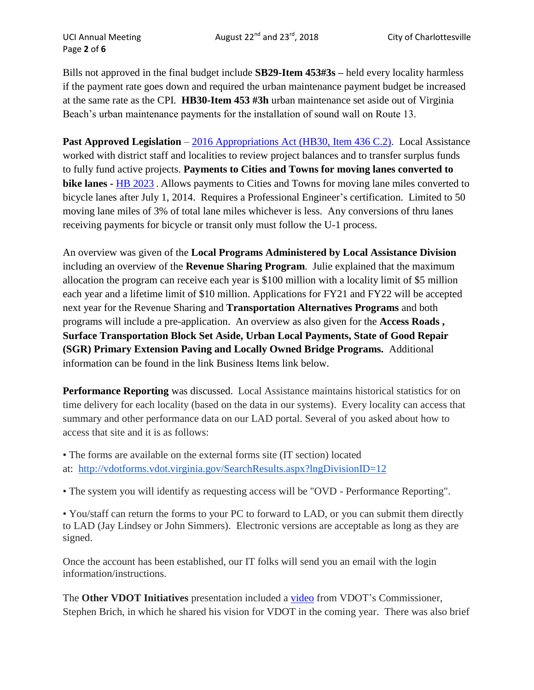Page **2** of **6**

Bills not approved in the final budget include **SB29-Item 453#3s –** held every locality harmless if the payment rate goes down and required the urban maintenance payment budget be increased at the same rate as the CPI. **HB30-Item 453 #3h** urban maintenance set aside out of Virginia Beach's urban maintenance payments for the installation of sound wall on Route 13.

**Past Approved Legislation** – [2016 Appropriations Act](https://budget.lis.virginia.gov/item/2016/1/HB30/Introduced/1/436/PDF/) (HB30, Item 436 C.2). Local Assistance worked with district staff and localities to review project balances and to transfer surplus funds to fully fund active projects. **Payments to Cities and Towns for moving lanes converted to bike lanes -** [HB 2023](http://lis.virginia.gov/cgi-bin/legp604.exe?171+sum+HB2023) . Allows payments to Cities and Towns for moving lane miles converted to bicycle lanes after July 1, 2014. Requires a Professional Engineer's certification. Limited to 50 moving lane miles of 3% of total lane miles whichever is less. Any conversions of thru lanes receiving payments for bicycle or transit only must follow the U-1 process.

An overview was given of the **Local Programs Administered by Local Assistance Division** including an overview of the **Revenue Sharing Program**. Julie explained that the maximum allocation the program can receive each year is \$100 million with a locality limit of \$5 million each year and a lifetime limit of \$10 million. Applications for FY21 and FY22 will be accepted next year for the Revenue Sharing and **Transportation Alternatives Programs** and both programs will include a pre-application. An overview as also given for the **Access Roads , Surface Transportation Block Set Aside, Urban Local Payments, State of Good Repair (SGR) Primary Extension Paving and Locally Owned Bridge Programs.** Additional information can be found in the link Business Items link below.

**Performance Reporting** was discussed. Local Assistance maintains historical statistics for on time delivery for each locality (based on the data in our systems). Every locality can access that summary and other performance data on our LAD portal. Several of you asked about how to access that site and it is as follows:

• The forms are available on the external forms site (IT section) located at: <http://vdotforms.vdot.virginia.gov/SearchResults.aspx?lngDivisionID=12>

• The system you will identify as requesting access will be "OVD - Performance Reporting".

• You/staff can return the forms to your PC to forward to LAD, or you can submit them directly to LAD (Jay Lindsey or John Simmers). Electronic versions are acceptable as long as they are signed.

Once the account has been established, our IT folks will send you an email with the login information/instructions.

The **Other VDOT Initiatives** presentation included a [video](https://www.youtube.com/watch?v=pKYsvSuCrGU&feature=youtu.be) from VDOT's Commissioner, Stephen Brich, in which he shared his vision for VDOT in the coming year. There was also brief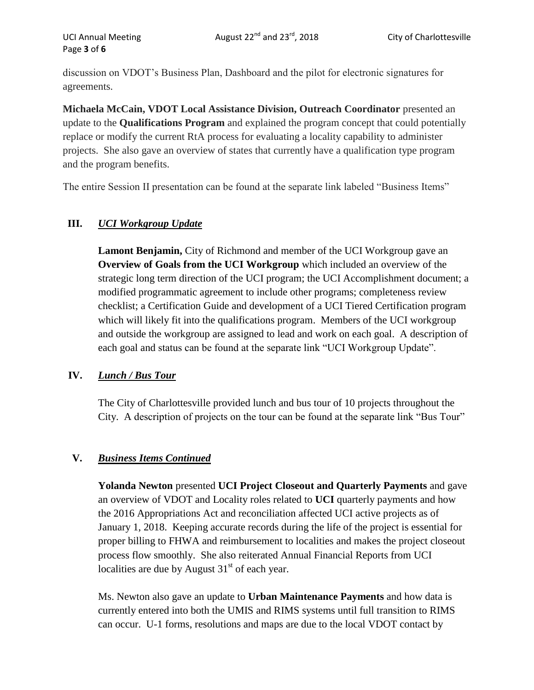discussion on VDOT's Business Plan, Dashboard and the pilot for electronic signatures for agreements.

**Michaela McCain, VDOT Local Assistance Division, Outreach Coordinator** presented an update to the **Qualifications Program** and explained the program concept that could potentially replace or modify the current RtA process for evaluating a locality capability to administer projects. She also gave an overview of states that currently have a qualification type program and the program benefits.

The entire Session II presentation can be found at the separate link labeled "Business Items"

### **III.** *UCI Workgroup Update*

**Lamont Benjamin,** City of Richmond and member of the UCI Workgroup gave an **Overview of Goals from the UCI Workgroup** which included an overview of the strategic long term direction of the UCI program; the UCI Accomplishment document; a modified programmatic agreement to include other programs; completeness review checklist; a Certification Guide and development of a UCI Tiered Certification program which will likely fit into the qualifications program. Members of the UCI workgroup and outside the workgroup are assigned to lead and work on each goal. A description of each goal and status can be found at the separate link "UCI Workgroup Update".

#### **IV.** *Lunch / Bus Tour*

The City of Charlottesville provided lunch and bus tour of 10 projects throughout the City. A description of projects on the tour can be found at the separate link "Bus Tour"

#### **V.** *Business Items Continued*

**Yolanda Newton** presented **UCI Project Closeout and Quarterly Payments** and gave an overview of VDOT and Locality roles related to **UCI** quarterly payments and how the 2016 Appropriations Act and reconciliation affected UCI active projects as of January 1, 2018. Keeping accurate records during the life of the project is essential for proper billing to FHWA and reimbursement to localities and makes the project closeout process flow smoothly. She also reiterated Annual Financial Reports from UCI localities are due by August  $31<sup>st</sup>$  of each year.

Ms. Newton also gave an update to **Urban Maintenance Payments** and how data is currently entered into both the UMIS and RIMS systems until full transition to RIMS can occur. U-1 forms, resolutions and maps are due to the local VDOT contact by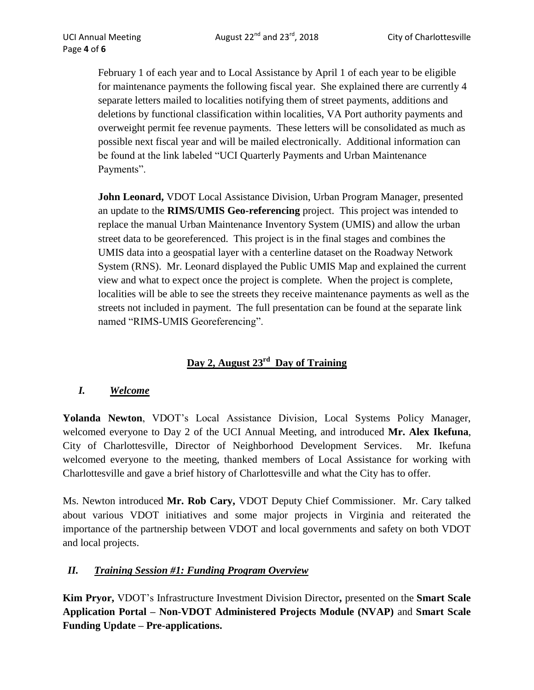February 1 of each year and to Local Assistance by April 1 of each year to be eligible for maintenance payments the following fiscal year. She explained there are currently 4 separate letters mailed to localities notifying them of street payments, additions and deletions by functional classification within localities, VA Port authority payments and overweight permit fee revenue payments. These letters will be consolidated as much as possible next fiscal year and will be mailed electronically. Additional information can be found at the link labeled "UCI Quarterly Payments and Urban Maintenance Payments".

**John Leonard, VDOT** Local Assistance Division, Urban Program Manager, presented an update to the **RIMS/UMIS Geo-referencing** project. This project was intended to replace the manual Urban Maintenance Inventory System (UMIS) and allow the urban street data to be georeferenced. This project is in the final stages and combines the UMIS data into a geospatial layer with a centerline dataset on the Roadway Network System (RNS). Mr. Leonard displayed the Public UMIS Map and explained the current view and what to expect once the project is complete. When the project is complete, localities will be able to see the streets they receive maintenance payments as well as the streets not included in payment. The full presentation can be found at the separate link named "RIMS-UMIS Georeferencing".

## **Day 2, August 23rd Day of Training**

#### *I. Welcome*

**Yolanda Newton**, VDOT's Local Assistance Division, Local Systems Policy Manager, welcomed everyone to Day 2 of the UCI Annual Meeting, and introduced **Mr. Alex Ikefuna**, City of Charlottesville, Director of Neighborhood Development Services. Mr. Ikefuna welcomed everyone to the meeting, thanked members of Local Assistance for working with Charlottesville and gave a brief history of Charlottesville and what the City has to offer.

Ms. Newton introduced **Mr. Rob Cary,** VDOT Deputy Chief Commissioner. Mr. Cary talked about various VDOT initiatives and some major projects in Virginia and reiterated the importance of the partnership between VDOT and local governments and safety on both VDOT and local projects.

#### *II. Training Session #1: Funding Program Overview*

**Kim Pryor,** VDOT's Infrastructure Investment Division Director**,** presented on the **Smart Scale Application Portal – Non-VDOT Administered Projects Module (NVAP)** and **Smart Scale Funding Update – Pre-applications.**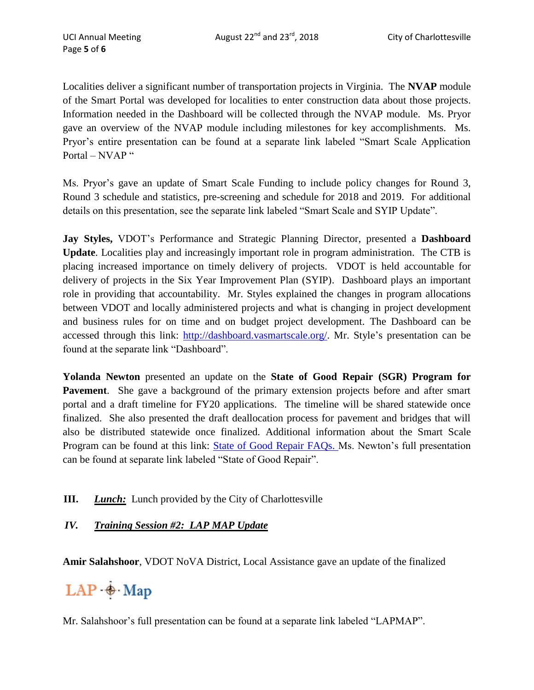Localities deliver a significant number of transportation projects in Virginia. The **NVAP** module of the Smart Portal was developed for localities to enter construction data about those projects. Information needed in the Dashboard will be collected through the NVAP module. Ms. Pryor gave an overview of the NVAP module including milestones for key accomplishments. Ms. Pryor's entire presentation can be found at a separate link labeled "Smart Scale Application Portal – NVAP "

Ms. Pryor's gave an update of Smart Scale Funding to include policy changes for Round 3, Round 3 schedule and statistics, pre-screening and schedule for 2018 and 2019. For additional details on this presentation, see the separate link labeled "Smart Scale and SYIP Update".

**Jay Styles,** VDOT's Performance and Strategic Planning Director, presented a **Dashboard Update**. Localities play and increasingly important role in program administration. The CTB is placing increased importance on timely delivery of projects. VDOT is held accountable for delivery of projects in the Six Year Improvement Plan (SYIP). Dashboard plays an important role in providing that accountability. Mr. Styles explained the changes in program allocations between VDOT and locally administered projects and what is changing in project development and business rules for on time and on budget project development. The Dashboard can be accessed through this link: [http://dashboard.vasmartscale.org/.](http://dashboard.vasmartscale.org/) Mr. Style's presentation can be found at the separate link "Dashboard".

**Yolanda Newton** presented an update on the **State of Good Repair (SGR) Program for Pavement**. She gave a background of the primary extension projects before and after smart portal and a draft timeline for FY20 applications. The timeline will be shared statewide once finalized. She also presented the draft deallocation process for pavement and bridges that will also be distributed statewide once finalized. Additional information about the Smart Scale Program can be found at this link: [State of Good Repair FAQs.](https://insidevdot.cov.virginia.gov/div/opd/CYNL4/Shared%20Documents/State%20of%20Good%20Repair%20Frequently%20Asked%20Questions.pdf) Ms. Newton's full presentation can be found at separate link labeled "State of Good Repair".

**III.** *Lunch:* Lunch provided by the City of Charlottesville

#### *IV. Training Session #2: LAP MAP Update*

**Amir Salahshoor**, VDOT NoVA District, Local Assistance gave an update of the finalized

# $LAP \oplus Map$

Mr. Salahshoor's full presentation can be found at a separate link labeled "LAPMAP".